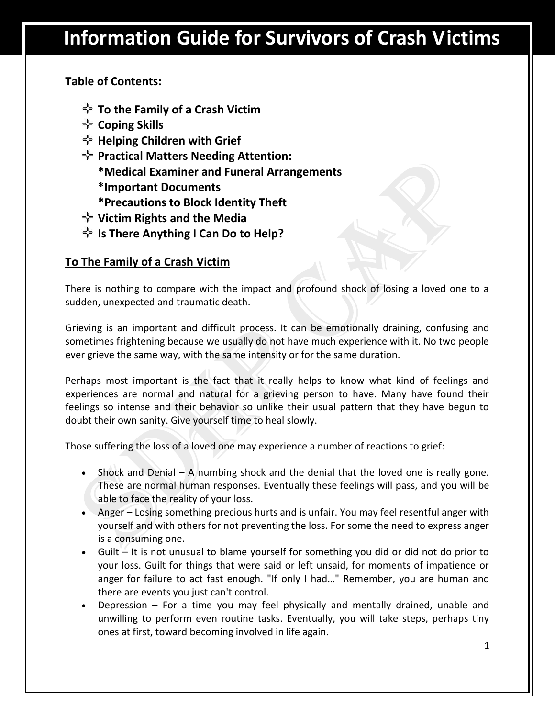## **Table of Contents:**

- **To the Family of a Crash Victim**
- **Coping Skills**
- **Helping Children with Grief**
- **Practical Matters Needing Attention: \*Medical Examiner and Funeral Arrangements \*Important Documents**
	- **\*Precautions to Block Identity Theft**
- **Victim Rights and the Media**
- *I***<sup>\*</sup>** Is There Anything I Can Do to Help?

### **To The Family of a Crash Victim**

There is nothing to compare with the impact and profound shock of losing a loved one to a sudden, unexpected and traumatic death.

Grieving is an important and difficult process. It can be emotionally draining, confusing and sometimes frightening because we usually do not have much experience with it. No two people ever grieve the same way, with the same intensity or for the same duration.

Perhaps most important is the fact that it really helps to know what kind of feelings and experiences are normal and natural for a grieving person to have. Many have found their feelings so intense and their behavior so unlike their usual pattern that they have begun to doubt their own sanity. Give yourself time to heal slowly.

Those suffering the loss of a loved one may experience a number of reactions to grief:

- Shock and Denial A numbing shock and the denial that the loved one is really gone. These are normal human responses. Eventually these feelings will pass, and you will be able to face the reality of your loss.
- Anger Losing something precious hurts and is unfair. You may feel resentful anger with yourself and with others for not preventing the loss. For some the need to express anger is a consuming one.
- Guilt It is not unusual to blame yourself for something you did or did not do prior to your loss. Guilt for things that were said or left unsaid, for moments of impatience or anger for failure to act fast enough. "If only I had…" Remember, you are human and there are events you just can't control.
- Depression For a time you may feel physically and mentally drained, unable and unwilling to perform even routine tasks. Eventually, you will take steps, perhaps tiny ones at first, toward becoming involved in life again.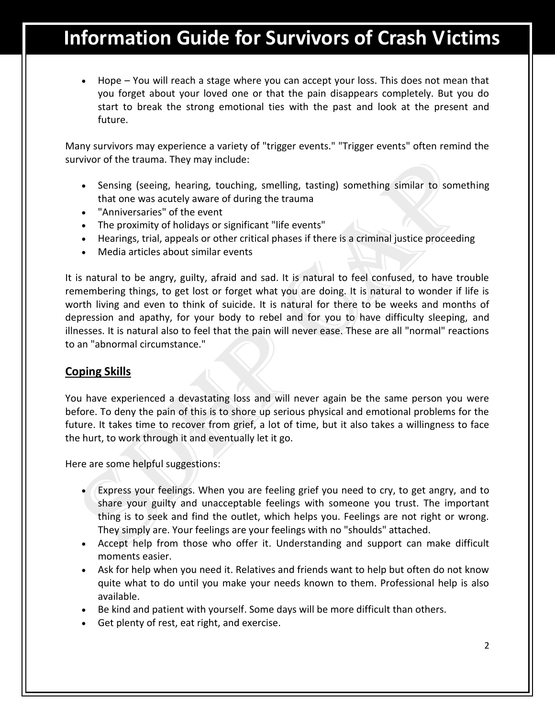Hope – You will reach a stage where you can accept your loss. This does not mean that you forget about your loved one or that the pain disappears completely. But you do start to break the strong emotional ties with the past and look at the present and future.

Many survivors may experience a variety of "trigger events." "Trigger events" often remind the survivor of the trauma. They may include:

- Sensing (seeing, hearing, touching, smelling, tasting) something similar to something that one was acutely aware of during the trauma
- "Anniversaries" of the event
- The proximity of holidays or significant "life events"
- Hearings, trial, appeals or other critical phases if there is a criminal justice proceeding
- Media articles about similar events

It is natural to be angry, guilty, afraid and sad. It is natural to feel confused, to have trouble remembering things, to get lost or forget what you are doing. It is natural to wonder if life is worth living and even to think of suicide. It is natural for there to be weeks and months of depression and apathy, for your body to rebel and for you to have difficulty sleeping, and illnesses. It is natural also to feel that the pain will never ease. These are all "normal" reactions to an "abnormal circumstance."

#### **Coping Skills**

You have experienced a devastating loss and will never again be the same person you were before. To deny the pain of this is to shore up serious physical and emotional problems for the future. It takes time to recover from grief, a lot of time, but it also takes a willingness to face the hurt, to work through it and eventually let it go.

Here are some helpful suggestions:

- Express your feelings. When you are feeling grief you need to cry, to get angry, and to share your guilty and unacceptable feelings with someone you trust. The important thing is to seek and find the outlet, which helps you. Feelings are not right or wrong. They simply are. Your feelings are your feelings with no "shoulds" attached.
- Accept help from those who offer it. Understanding and support can make difficult moments easier.
- Ask for help when you need it. Relatives and friends want to help but often do not know quite what to do until you make your needs known to them. Professional help is also available.
- Be kind and patient with yourself. Some days will be more difficult than others.
- Get plenty of rest, eat right, and exercise.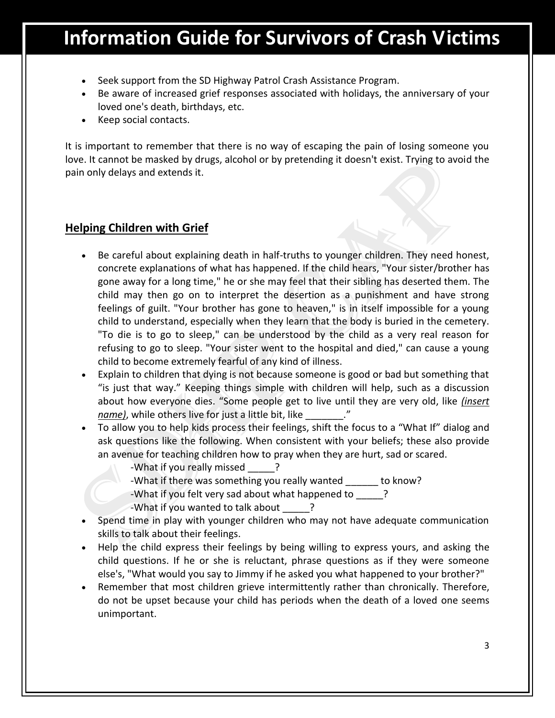- Seek support from the SD Highway Patrol Crash Assistance Program.
- Be aware of increased grief responses associated with holidays, the anniversary of your loved one's death, birthdays, etc.
- Keep social contacts.

It is important to remember that there is no way of escaping the pain of losing someone you love. It cannot be masked by drugs, alcohol or by pretending it doesn't exist. Trying to avoid the pain only delays and extends it.

#### **Helping Children with Grief**

- Be careful about explaining death in half-truths to younger children. They need honest, concrete explanations of what has happened. If the child hears, "Your sister/brother has gone away for a long time," he or she may feel that their sibling has deserted them. The child may then go on to interpret the desertion as a punishment and have strong feelings of guilt. "Your brother has gone to heaven," is in itself impossible for a young child to understand, especially when they learn that the body is buried in the cemetery. "To die is to go to sleep," can be understood by the child as a very real reason for refusing to go to sleep. "Your sister went to the hospital and died," can cause a young child to become extremely fearful of any kind of illness.
- Explain to children that dying is not because someone is good or bad but something that "is just that way." Keeping things simple with children will help, such as a discussion about how everyone dies. "Some people get to live until they are very old, like *(insert name)*, while others live for just a little bit, like \_\_\_\_\_\_\_."
- To allow you to help kids process their feelings, shift the focus to a "What If" dialog and ask questions like the following. When consistent with your beliefs; these also provide an avenue for teaching children how to pray when they are hurt, sad or scared.
	- -What if you really missed \_\_\_\_\_?
	- -What if there was something you really wanted \_\_\_\_\_\_ to know?
	- -What if you felt very sad about what happened to  $\qquad$  ?

-What if you wanted to talk about \_\_\_\_\_?

- Spend time in play with younger children who may not have adequate communication skills to talk about their feelings.
- Help the child express their feelings by being willing to express yours, and asking the child questions. If he or she is reluctant, phrase questions as if they were someone else's, "What would you say to Jimmy if he asked you what happened to your brother?"
- Remember that most children grieve intermittently rather than chronically. Therefore, do not be upset because your child has periods when the death of a loved one seems unimportant.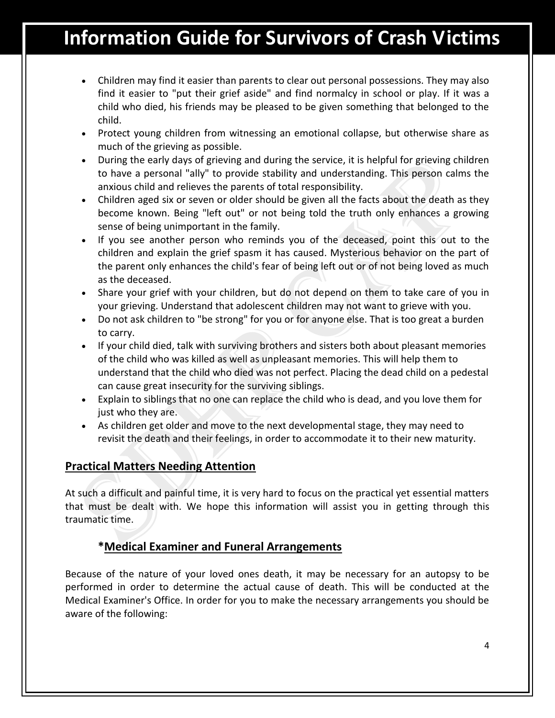- Children may find it easier than parents to clear out personal possessions. They may also find it easier to "put their grief aside" and find normalcy in school or play. If it was a child who died, his friends may be pleased to be given something that belonged to the child.
- Protect young children from witnessing an emotional collapse, but otherwise share as much of the grieving as possible.
- During the early days of grieving and during the service, it is helpful for grieving children to have a personal "ally" to provide stability and understanding. This person calms the anxious child and relieves the parents of total responsibility.
- Children aged six or seven or older should be given all the facts about the death as they become known. Being "left out" or not being told the truth only enhances a growing sense of being unimportant in the family.
- If you see another person who reminds you of the deceased, point this out to the children and explain the grief spasm it has caused. Mysterious behavior on the part of the parent only enhances the child's fear of being left out or of not being loved as much as the deceased.
- Share your grief with your children, but do not depend on them to take care of you in your grieving. Understand that adolescent children may not want to grieve with you.
- Do not ask children to "be strong" for you or for anyone else. That is too great a burden to carry.
- If your child died, talk with surviving brothers and sisters both about pleasant memories of the child who was killed as well as unpleasant memories. This will help them to understand that the child who died was not perfect. Placing the dead child on a pedestal can cause great insecurity for the surviving siblings.
- Explain to siblings that no one can replace the child who is dead, and you love them for just who they are.
- As children get older and move to the next developmental stage, they may need to revisit the death and their feelings, in order to accommodate it to their new maturity.

### **Practical Matters Needing Attention**

At such a difficult and painful time, it is very hard to focus on the practical yet essential matters that must be dealt with. We hope this information will assist you in getting through this traumatic time.

#### **\*Medical Examiner and Funeral Arrangements**

Because of the nature of your loved ones death, it may be necessary for an autopsy to be performed in order to determine the actual cause of death. This will be conducted at the Medical Examiner's Office. In order for you to make the necessary arrangements you should be aware of the following: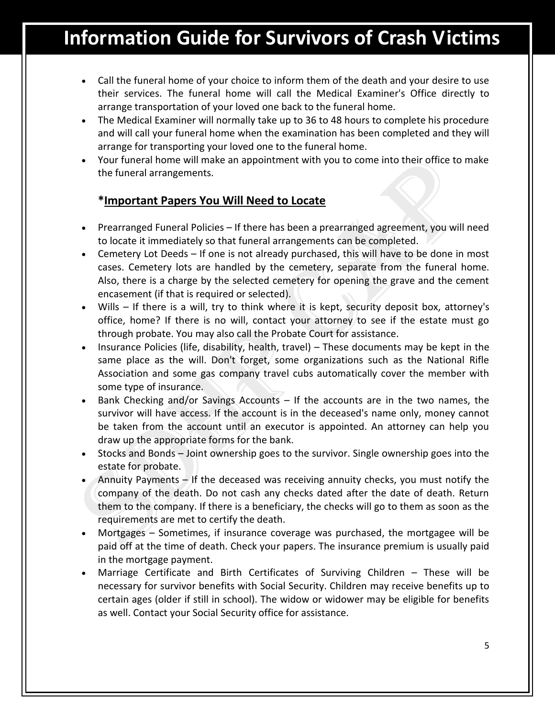- Call the funeral home of your choice to inform them of the death and your desire to use their services. The funeral home will call the Medical Examiner's Office directly to arrange transportation of your loved one back to the funeral home.
- The Medical Examiner will normally take up to 36 to 48 hours to complete his procedure and will call your funeral home when the examination has been completed and they will arrange for transporting your loved one to the funeral home.
- Your funeral home will make an appointment with you to come into their office to make the funeral arrangements.

### **\*Important Papers You Will Need to Locate**

- Prearranged Funeral Policies If there has been a prearranged agreement, you will need to locate it immediately so that funeral arrangements can be completed.
- Cemetery Lot Deeds If one is not already purchased, this will have to be done in most cases. Cemetery lots are handled by the cemetery, separate from the funeral home. Also, there is a charge by the selected cemetery for opening the grave and the cement encasement (if that is required or selected).
- Wills If there is a will, try to think where it is kept, security deposit box, attorney's office, home? If there is no will, contact your attorney to see if the estate must go through probate. You may also call the Probate Court for assistance.
- Insurance Policies (life, disability, health, travel) These documents may be kept in the same place as the will. Don't forget, some organizations such as the National Rifle Association and some gas company travel cubs automatically cover the member with some type of insurance.
- Bank Checking and/or Savings Accounts If the accounts are in the two names, the survivor will have access. If the account is in the deceased's name only, money cannot be taken from the account until an executor is appointed. An attorney can help you draw up the appropriate forms for the bank.
- Stocks and Bonds Joint ownership goes to the survivor. Single ownership goes into the estate for probate.
- Annuity Payments If the deceased was receiving annuity checks, you must notify the company of the death. Do not cash any checks dated after the date of death. Return them to the company. If there is a beneficiary, the checks will go to them as soon as the requirements are met to certify the death.
- Mortgages Sometimes, if insurance coverage was purchased, the mortgagee will be paid off at the time of death. Check your papers. The insurance premium is usually paid in the mortgage payment.
- Marriage Certificate and Birth Certificates of Surviving Children These will be necessary for survivor benefits with Social Security. Children may receive benefits up to certain ages (older if still in school). The widow or widower may be eligible for benefits as well. Contact your Social Security office for assistance.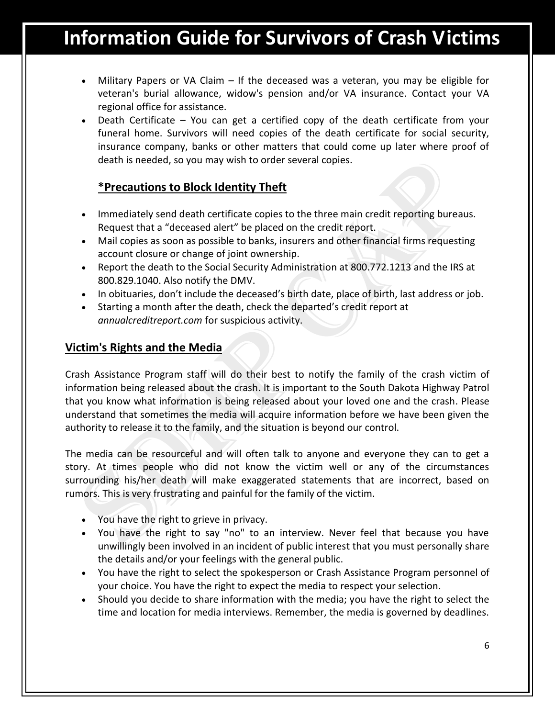- Military Papers or VA Claim If the deceased was a veteran, you may be eligible for veteran's burial allowance, widow's pension and/or VA insurance. Contact your VA regional office for assistance.
- Death Certificate You can get a certified copy of the death certificate from your funeral home. Survivors will need copies of the death certificate for social security, insurance company, banks or other matters that could come up later where proof of death is needed, so you may wish to order several copies.

### **\*Precautions to Block Identity Theft**

- Immediately send death certificate copies to the three main credit reporting bureaus. Request that a "deceased alert" be placed on the credit report.
- Mail copies as soon as possible to banks, insurers and other financial firms requesting account closure or change of joint ownership.
- Report the death to the Social Security Administration at 800.772.1213 and the IRS at 800.829.1040. Also notify the DMV.
- In obituaries, don't include the deceased's birth date, place of birth, last address or job.
- Starting a month after the death, check the departed's credit report at *annualcreditreport.com* for suspicious activity.

### **Victim's Rights and the Media**

Crash Assistance Program staff will do their best to notify the family of the crash victim of information being released about the crash. It is important to the South Dakota Highway Patrol that you know what information is being released about your loved one and the crash. Please understand that sometimes the media will acquire information before we have been given the authority to release it to the family, and the situation is beyond our control.

The media can be resourceful and will often talk to anyone and everyone they can to get a story. At times people who did not know the victim well or any of the circumstances surrounding his/her death will make exaggerated statements that are incorrect, based on rumors. This is very frustrating and painful for the family of the victim.

- You have the right to grieve in privacy.
- You have the right to say "no" to an interview. Never feel that because you have unwillingly been involved in an incident of public interest that you must personally share the details and/or your feelings with the general public.
- You have the right to select the spokesperson or Crash Assistance Program personnel of your choice. You have the right to expect the media to respect your selection.
- Should you decide to share information with the media; you have the right to select the time and location for media interviews. Remember, the media is governed by deadlines.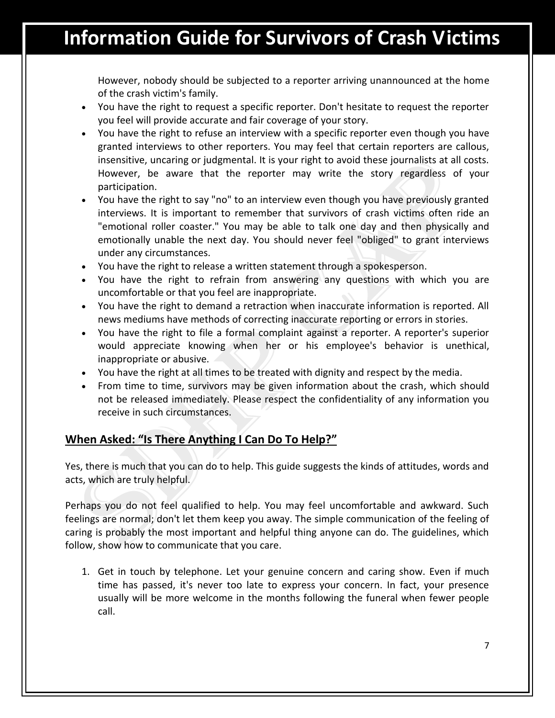However, nobody should be subjected to a reporter arriving unannounced at the home of the crash victim's family.

- You have the right to request a specific reporter. Don't hesitate to request the reporter you feel will provide accurate and fair coverage of your story.
- You have the right to refuse an interview with a specific reporter even though you have granted interviews to other reporters. You may feel that certain reporters are callous, insensitive, uncaring or judgmental. It is your right to avoid these journalists at all costs. However, be aware that the reporter may write the story regardless of your participation.
- You have the right to say "no" to an interview even though you have previously granted interviews. It is important to remember that survivors of crash victims often ride an "emotional roller coaster." You may be able to talk one day and then physically and emotionally unable the next day. You should never feel "obliged" to grant interviews under any circumstances.
- You have the right to release a written statement through a spokesperson.
- You have the right to refrain from answering any questions with which you are uncomfortable or that you feel are inappropriate.
- You have the right to demand a retraction when inaccurate information is reported. All news mediums have methods of correcting inaccurate reporting or errors in stories.
- You have the right to file a formal complaint against a reporter. A reporter's superior would appreciate knowing when her or his employee's behavior is unethical, inappropriate or abusive.
- You have the right at all times to be treated with dignity and respect by the media.
- From time to time, survivors may be given information about the crash, which should not be released immediately. Please respect the confidentiality of any information you receive in such circumstances.

### **When Asked: "Is There Anything I Can Do To Help?"**

Yes, there is much that you can do to help. This guide suggests the kinds of attitudes, words and acts, which are truly helpful.

Perhaps you do not feel qualified to help. You may feel uncomfortable and awkward. Such feelings are normal; don't let them keep you away. The simple communication of the feeling of caring is probably the most important and helpful thing anyone can do. The guidelines, which follow, show how to communicate that you care.

1. Get in touch by telephone. Let your genuine concern and caring show. Even if much time has passed, it's never too late to express your concern. In fact, your presence usually will be more welcome in the months following the funeral when fewer people call.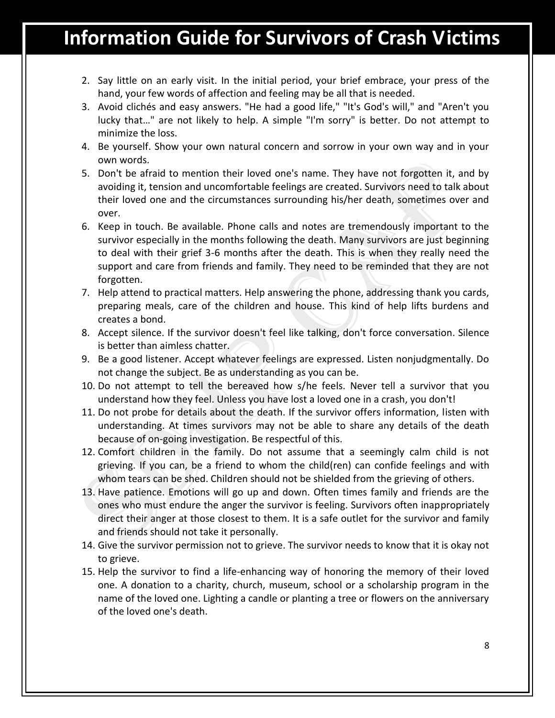- 2. Say little on an early visit. In the initial period, your brief embrace, your press of the hand, your few words of affection and feeling may be all that is needed.
- 3. Avoid clichés and easy answers. "He had a good life," "It's God's will," and "Aren't you lucky that…" are not likely to help. A simple "I'm sorry" is better. Do not attempt to minimize the loss.
- 4. Be yourself. Show your own natural concern and sorrow in your own way and in your own words.
- 5. Don't be afraid to mention their loved one's name. They have not forgotten it, and by avoiding it, tension and uncomfortable feelings are created. Survivors need to talk about their loved one and the circumstances surrounding his/her death, sometimes over and over.
- 6. Keep in touch. Be available. Phone calls and notes are tremendously important to the survivor especially in the months following the death. Many survivors are just beginning to deal with their grief 3-6 months after the death. This is when they really need the support and care from friends and family. They need to be reminded that they are not forgotten.
- 7. Help attend to practical matters. Help answering the phone, addressing thank you cards, preparing meals, care of the children and house. This kind of help lifts burdens and creates a bond.
- 8. Accept silence. If the survivor doesn't feel like talking, don't force conversation. Silence is better than aimless chatter.
- 9. Be a good listener. Accept whatever feelings are expressed. Listen nonjudgmentally. Do not change the subject. Be as understanding as you can be.
- 10. Do not attempt to tell the bereaved how s/he feels. Never tell a survivor that you understand how they feel. Unless you have lost a loved one in a crash, you don't!
- 11. Do not probe for details about the death. If the survivor offers information, listen with understanding. At times survivors may not be able to share any details of the death because of on-going investigation. Be respectful of this.
- 12. Comfort children in the family. Do not assume that a seemingly calm child is not grieving. If you can, be a friend to whom the child(ren) can confide feelings and with whom tears can be shed. Children should not be shielded from the grieving of others.
- 13. Have patience. Emotions will go up and down. Often times family and friends are the ones who must endure the anger the survivor is feeling. Survivors often inappropriately direct their anger at those closest to them. It is a safe outlet for the survivor and family and friends should not take it personally.
- 14. Give the survivor permission not to grieve. The survivor needs to know that it is okay not to grieve.
- 15. Help the survivor to find a life-enhancing way of honoring the memory of their loved one. A donation to a charity, church, museum, school or a scholarship program in the name of the loved one. Lighting a candle or planting a tree or flowers on the anniversary of the loved one's death.